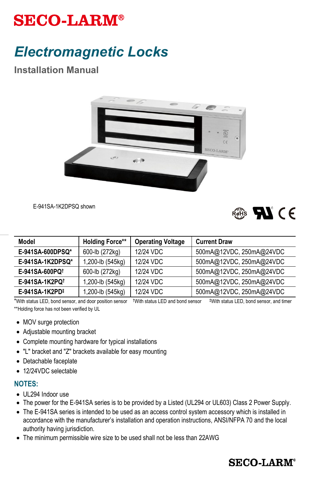# **SECO-LARM®**

# *Electromagnetic Locks*

**Installation Manual**



E-941SA-1K2DPSQ shown



| <b>Model</b>               | <b>Holding Force**</b> | <b>Operating Voltage</b> | <b>Current Draw</b>      |
|----------------------------|------------------------|--------------------------|--------------------------|
| E-941SA-600DPSQ*           | 600-lb (272kg)         | 12/24 VDC                | 500mA@12VDC, 250mA@24VDC |
| E-941SA-1K2DPSQ*           | 1,200-lb (545kg)       | 12/24 VDC                | 500mA@12VDC, 250mA@24VDC |
| E-941SA-600PQ <sup>+</sup> | 600-lb (272kg)         | 12/24 VDC                | 500mA@12VDC, 250mA@24VDC |
| E-941SA-1K2PQ <sup>+</sup> | 1,200-lb (545kg)       | 12/24 VDC                | 500mA@12VDC, 250mA@24VDC |
| E-941SA-1K2PD#             | 1,200-lb (545kg)       | 12/24 VDC                | 500mA@12VDC, 250mA@24VDC |

\*With status LED, bond sensor, and door position sensor †With status LED and bond sensor ‡With status LED, bond sensor, and timer \*\*Holding force has not been verified by UL

- MOV surge protection
- Adjustable mounting bracket
- Complete mounting hardware for typical installations
- "L" bracket and "Z" brackets available for easy mounting
- Detachable faceplate
- 12/24VDC selectable

#### **NOTES:**

- UL294 Indoor use
- The power for the E-941SA series is to be provided by a Listed (UL294 or UL603) Class 2 Power Supply.
- The E-941SA series is intended to be used as an access control system accessory which is installed in accordance with the manufacturer's installation and operation instructions, ANSI/NFPA 70 and the local authority having jurisdiction.
- The minimum permissible wire size to be used shall not be less than 22AWG

# **SECO-LARM®**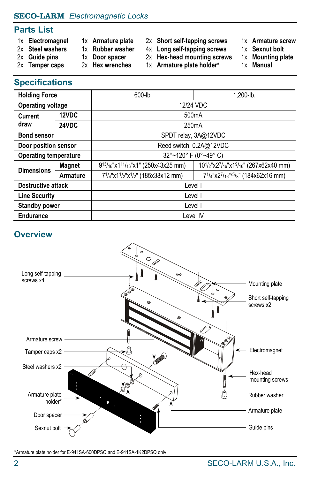#### SECO-LARM *Electromagnetic Locks*

#### **Parts List**

- 
- 
- 
- 
- 1x **Electromagnet** 1x **Armature plate** 2x **Short self-tapping screws** 1x **Armature screw**
- 2x **Steel washers** 1x **Rubber washer** 4x **Long self-tapping screws** 1x **Sexnut bolt**
- 2x Guide pins 1x Door spacer 2x Hex-head mounting screws 1x Mounting<br>2x Tamper caps 2x Hex wrenches 1x Armature plate holder\* 1x Manual
	- 1x **Armature plate holder\***
- 
- 
- 
- 

#### **Specifications**

| <b>Holding Force</b>               | 600-lb                                                                                                        | 1,200-lb.                                                                                  |  |  |  |  |
|------------------------------------|---------------------------------------------------------------------------------------------------------------|--------------------------------------------------------------------------------------------|--|--|--|--|
| <b>Operating voltage</b>           | 12/24 VDC                                                                                                     |                                                                                            |  |  |  |  |
| 12VDC<br><b>Current</b>            | 500 <sub>m</sub> A                                                                                            |                                                                                            |  |  |  |  |
| draw<br>24VDC                      | 250 <sub>m</sub> A                                                                                            |                                                                                            |  |  |  |  |
| <b>Bond sensor</b>                 | SPDT relay, 3A@12VDC                                                                                          |                                                                                            |  |  |  |  |
| Door position sensor               | Reed switch, 0.2A@12VDC                                                                                       |                                                                                            |  |  |  |  |
| <b>Operating temperature</b>       | 32°~120° F (0°~49° C)                                                                                         |                                                                                            |  |  |  |  |
| <b>Magnet</b><br><b>Dimensions</b> | 913/ <sub>16</sub> "x111/ <sub>16</sub> "x1" (250x43x25 mm)                                                   | 101/2"x27/16"x19/16" (267x62x40 mm)                                                        |  |  |  |  |
| Armature                           | 7 <sup>1</sup> / <sub>4</sub> "x1 <sup>1</sup> / <sub>2</sub> "x <sup>1</sup> / <sub>2</sub> " (185x38x12 mm) | $7^{1/4}$ "x2 <sup>7</sup> / <sub>16</sub> "x <sup>5</sup> / <sub>8</sub> " (184x62x16 mm) |  |  |  |  |
| <b>Destructive attack</b>          | Level I                                                                                                       |                                                                                            |  |  |  |  |
| <b>Line Security</b>               | Level I                                                                                                       |                                                                                            |  |  |  |  |
| <b>Standby power</b>               | Level I                                                                                                       |                                                                                            |  |  |  |  |
| <b>Endurance</b>                   | Level IV                                                                                                      |                                                                                            |  |  |  |  |

# **Overview**



\*Armature plate holder for E-941SA-600DPSQ and E-941SA-1K2DPSQ only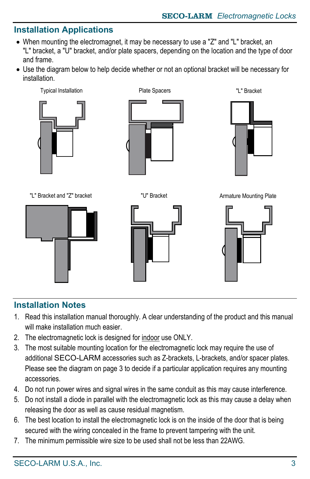## **Installation Applications**

- When mounting the electromagnet, it may be necessary to use a "Z" and "L" bracket, an "L" bracket, a "U" bracket, and/or plate spacers, depending on the location and the type of door and frame.
- Use the diagram below to help decide whether or not an optional bracket will be necessary for installation.



### **Installation Notes**

- 1. Read this installation manual thoroughly. A clear understanding of the product and this manual will make installation much easier.
- 2. The electromagnetic lock is designed for indoor use ONLY.
- 3. The most suitable mounting location for the electromagnetic lock may require the use of additional SECO-LARM accessories such as Z-brackets, L-brackets, and/or spacer plates. Please see the diagram on page 3 to decide if a particular application requires any mounting accessories.
- 4. Do not run power wires and signal wires in the same conduit as this may cause interference.
- 5. Do not install a diode in parallel with the electromagnetic lock as this may cause a delay when releasing the door as well as cause residual magnetism.
- 6. The best location to install the electromagnetic lock is on the inside of the door that is being secured with the wiring concealed in the frame to prevent tampering with the unit.
- 7. The minimum permissible wire size to be used shall not be less than 22AWG.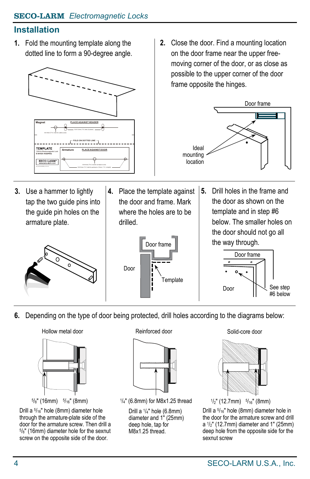## **Installation**

**1.** Fold the mounting template along the dotted line to form a 90-degree angle.



- **3.** Use a hammer to lightly tap the two guide pins into the guide pin holes on the armature plate.
- **4.** Place the template against the door and frame. Mark where the holes are to be drilled.
- **5.** Drill holes in the frame and the door as shown on the template and in step #6 below. The smaller holes on the door should not go all the way through.





- Door frame  $\bigcap_{\Omega \cap \Omega}$  See step #6 below
- **6.** Depending on the type of door being protected, drill holes according to the diagrams below:



Drill a 5/16" hole (8mm) diameter hole through the armature-plate side of the door for the armature screw. Then drill a 5/8" (16mm) diameter hole for the sexnut screw on the opposite side of the door.





 $5\frac{1}{8}$ " (16mm)  $5\frac{1}{16}$ " (8mm) 1/4" (6.8mm) for M8x1.25 thread  $1/2$ " (12.7mm)  $5/16$ " (8mm)

Drill a  $1/4$ " hole (6.8mm) diameter and 1" (25mm) deep hole, tap for M8x1.25 thread.



Drill a 5/<sub>16</sub>" hole (8mm) diameter hole in the door for the armature screw and drill a  $1/2$ " (12.7mm) diameter and 1" (25mm) deep hole from the opposite side for the sexnut screw

**2.** Close the door. Find a mounting location on the door frame near the upper freemoving corner of the door, or as close as possible to the upper corner of the door frame opposite the hinges.

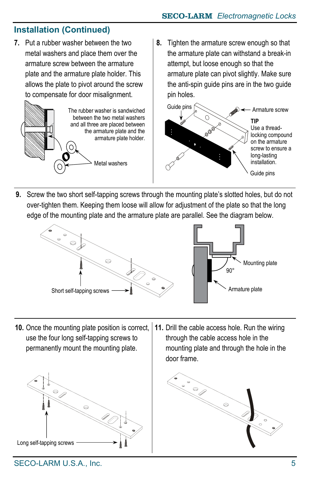# **Installation (Continued)**

**7.** Put a rubber washer between the two metal washers and place them over the armature screw between the armature plate and the armature plate holder. This allows the plate to pivot around the screw to compensate for door misalignment.



**8.** Tighten the armature screw enough so that the armature plate can withstand a break-in attempt, but loose enough so that the armature plate can pivot slightly. Make sure the anti-spin guide pins are in the two guide pin holes.



**9.** Screw the two short self-tapping screws through the mounting plate's slotted holes, but do not over-tighten them. Keeping them loose will allow for adjustment of the plate so that the long edge of the mounting plate and the armature plate are parallel. See the diagram below.



**10.** Once the mounting plate position is correct, use the four long self-tapping screws to permanently mount the mounting plate.



**11.** Drill the cable access hole. Run the wiring through the cable access hole in the mounting plate and through the hole in the door frame.

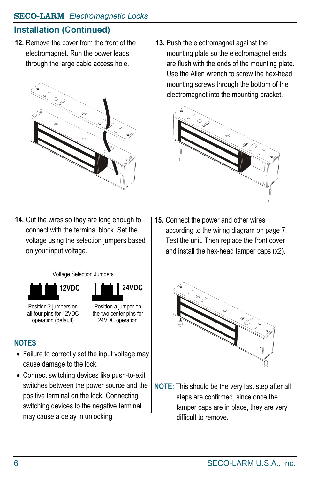#### SECO-LARM *Electromagnetic Locks*

# **Installation (Continued)**

**12.** Remove the cover from the front of the electromagnet. Run the power leads through the large cable access hole.



**14.** Cut the wires so they are long enough to connect with the terminal block. Set the voltage using the selection jumpers based on your input voltage.

Voltage Selection Jumpers





Position 2 jumpers on all four pins for 12VDC operation (default)

Position a jumper on the two center pins for 24VDC operation

### **NOTES**

- Failure to correctly set the input voltage may cause damage to the lock.
- Connect switching devices like push-to-exit switches between the power source and the positive terminal on the lock. Connecting switching devices to the negative terminal may cause a delay in unlocking.

**13.** Push the electromagnet against the mounting plate so the electromagnet ends are flush with the ends of the mounting plate. Use the Allen wrench to screw the hex-head mounting screws through the bottom of the electromagnet into the mounting bracket.



**15.** Connect the power and other wires according to the wiring diagram on page 7. Test the unit. Then replace the front cover and install the hex-head tamper caps (x2).



**NOTE:** This should be the very last step after all steps are confirmed, since once the tamper caps are in place, they are very difficult to remove.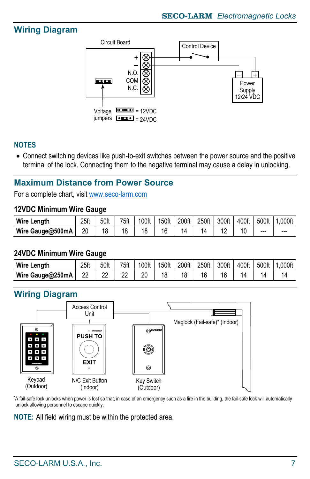# **Wiring Diagram**



#### **NOTES**

• Connect switching devices like push-to-exit switches between the power source and the positive terminal of the lock. Connecting them to the negative terminal may cause a delay in unlocking.

#### **Maximum Distance from Power Source**

For a complete chart, visit [www.seco-larm.com](http://www.seco-larm.com/)

#### **12VDC Minimum Wire Gauge**

| <b>Wire Length</b> | 25ft | 50ft | 75ft | 100ft | 150ft | 200ft | 250ft | 300ft | 400ft | 500ft | .000ft |
|--------------------|------|------|------|-------|-------|-------|-------|-------|-------|-------|--------|
| Wire Gauge@500mA   | 20   | 18   | 18   |       | 16    |       |       | ╺     | 10    | ---   | ---    |

#### **24VDC Minimum Wire Gauge**

| <b>Wire Length</b> | 25ft | 50ft | 75ft | 00ft | 50ft | 200ft | 250ft | 300ft | 400ft | 500ft | 000ft |
|--------------------|------|------|------|------|------|-------|-------|-------|-------|-------|-------|
| Wire Gauge@250mA   | 22   |      | ՟    | 20   | 18   |       | 16    | 16    | 4     | 14    | 14    |

### **Wiring Diagram**



\* A fail-safe lock unlocks when power is lost so that, in case of an emergency such as a fire in the building, the fail-safe lock will automatically unlock allowing personnel to escape quickly.

**NOTE:** All field wiring must be within the protected area.